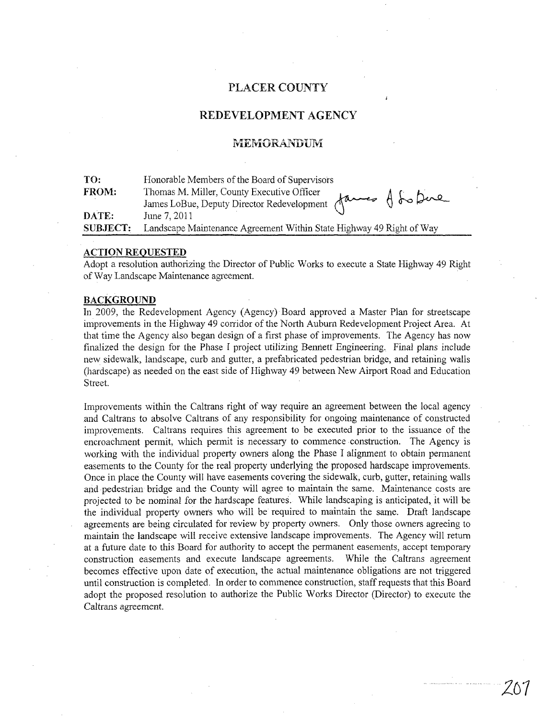# PLACER COUNTY

## REDEVELOPMENT AGENCY

#### MEMORANDUM

| TO:             | Honorable Members of the Board of Supervisors                        |  |
|-----------------|----------------------------------------------------------------------|--|
| FROM:           | James LoBue, Deputy Director Redevelopment fames & for Director      |  |
| DATE:           | June 7, 2011                                                         |  |
| <b>SUBJECT:</b> | Landscape Maintenance Agreement Within State Highway 49 Right of Way |  |

#### ACTION REQUESTED

Adopt a resolution authorizing the Director of Public Works to execute a State Highway 49 Right of Way Landscape Maintenance agreement. .

#### BACKGROUND

In 2009, the Redevelopment Agency (Agency) Board approved a Master Plan for streetscape improvements in the Highway 49 corridor of the North Auburn Redevelopment Project Area. At that time the Agency also began design of a first phase of improvements. The Agency has now finalized the design for the Phase I project utilizing Bennett Engineering. Final plans include new sidewalk, landscape, curb and gutter, a prefabricated pedestrian bridge, and retaining walls (hardscape) as needed on the east side of Highway 49 between New Airport Road and Education Street.

Improvements within the Caltrans right of way require an agreement between the local agency and Caltrans to absolve Caltrans of any responsibility for ongoing maintenance of constructed improvements. Caltrans requires this agreement to be executed prior to the issuance of the encroachment permit, which permit is necessary to commence construction. The Agency is working with the individual property owners along the Phase I alignment to obtain permanent easements to the County for the real property underlying the proposed hardscape improvements. Once in place the County will have easements covering the sidewalk, curb, gutter, retaining walls and pedestrian bridge and the County will agree to maintain the same. Maintenance costs are projected to be nominal for the hardscape features. While landscaping is anticipated, it will be the individual property owners who will be required to maintain the same. Draft landscape agreements are being circulated for review by property owners. Only those owners agreeing to maintain the landscape will receive extensive landscape improvements. The Agency will return at a future date to this Board for authority to accept the permanent easements, accept temporary construction easements and execute landscape agreements. While the Caltrans agreement becomes effective upon date of execution, the actual maintenance obligations are not triggered until construction is completed. In order to commence construction, staff requests that this Board adopt the proposed resolution to authorize the Public Works Director (Director) to execute the Caltrans agreement.

267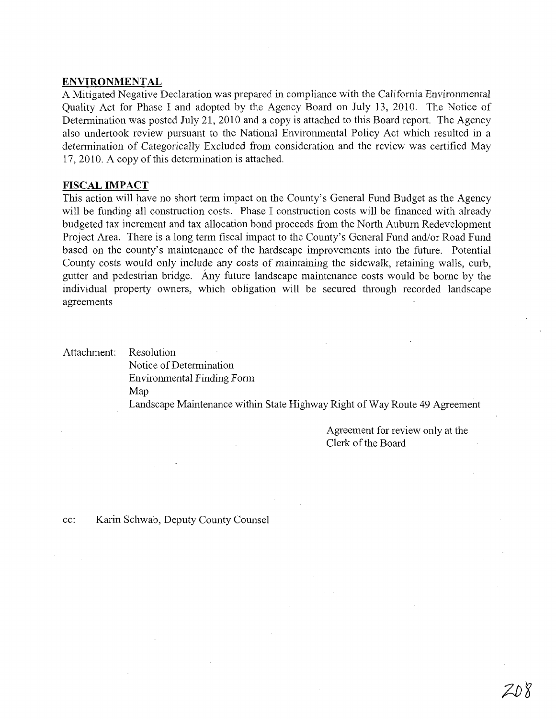### **ENVIRONMENTAL**

A Mitigated Negative Declaration was prepared in compliance with the California Environmental Quality Act for Phase I and adopted by the Agency Board on July 13, 2010. The Notice of Determination was posted July 21, 2010 and a copy is attached to this Board report. The Agency also undertook review pursuant to the National Environmental Policy Act which resulted in a determination of Categorically Excluded from consideration and the review was certified May 17,2010. A copy of this determination is attached.

#### **FISCAL IMPACT**

This action will have no short term impact on the County's General Fund Budget as the Agency will be funding all construction costs. Phase I construction costs will be financed with already budgeted tax increment and tax allocation bond proceeds from the North Auburn Redevelopment Project Area. There is a long term fiscal impact to the County's General Fund and/or Road Fund based on the county's maintenance of the hardscape improvements into the future. Potential County costs would only include any costs of maintaining the sidewalk, retaining walls, curb, gutter and pedestrian bridge. Any future landscape maintenance costs would be borne by the individual property owners, which obligation will be secured through recorded landscape agreements

Attachment: Resolution Notice of Determination Environmental Finding Form Map Landscape Maintenance within State Highway Right of Way Route 49 Agreement

> Agreement for review only at the Clerk of the Board

cc: Karin Schwab, Deputy County Counsel

 $ZN$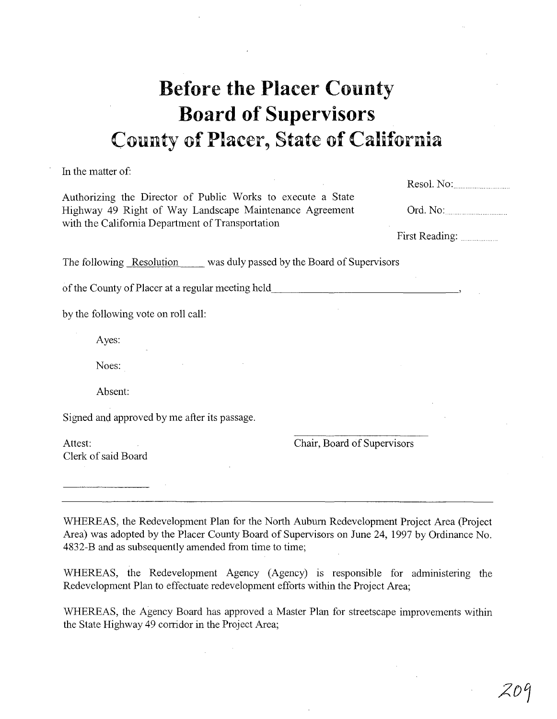| <b>Before the Placer County</b>              |
|----------------------------------------------|
| <b>Board of Supervisors</b>                  |
| <b>County of Placer, State of California</b> |

In the matter of:

Authorizing the Director of Public Works to execute a State Highway 49 Right of Way Landscape Maintenance Agreement with the California Department of Transportation

Resol. No: ...

Ord. No:

First Reading:

The following Resolution was duly passed by the Board of Supervisors

of the County of Placer at a regular meeting held

by the following vote on roll call:

Ayes:

Noes:

Absent:

Signed and approved by me after its passage.

Clerk of said Board

Attest: Chair, Board of Supervisors

WHEREAS, the Redevelopment Plan for the North Auburn Redevelopment Project Area (Project Area) was adopted by the Placer County Board of Supervisors on June 24, 1997 by Ordinance No. 4832-B and as subsequently amended from time to time;

WHEREAS, the Redevelopment Agency (Agency) is responsible for administering the Redevelopment Plan to effectuate redevelopment efforts within the Project Area;

WHEREAS, the Agency Board has approved a Master Plan for streetscape improvements within the State Highway 49 corridor in the Project Area;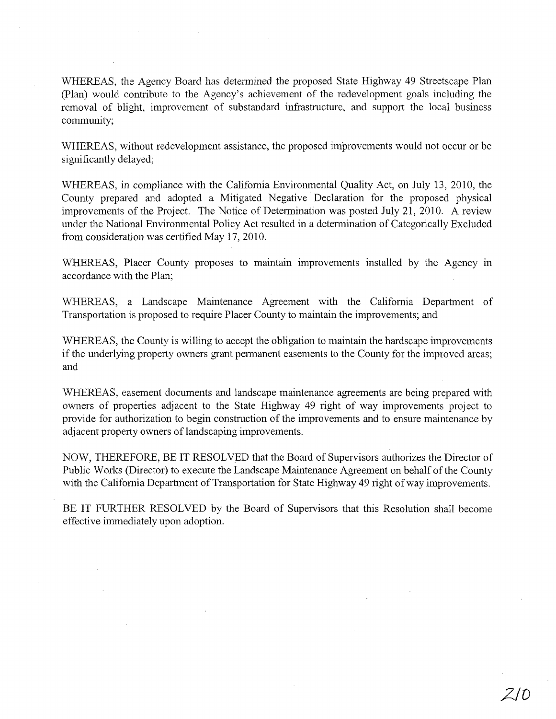WHEREAS, the Agency Board has determined the proposed State Highway 49 Streetscape Plan (Plan) would contribute to the Agency's achievement of the redevelopment goals including the removal of blight, improvement of substandard infrastructure, and support the local business community;

WHEREAS, without redevelopment assistance, the proposed improvements would not occur or be significantly delayed;

WHEREAS, in compliance with the California Environmental Quality Act, on July 13, 2010, the County prepared and adopted a Mitigated Negative· Declaration for the proposed physical improvements of the Project. The Notice of Detennination was posted July 21, 2010. A review under the National Environmental Policy Act resulted in a detennination of Categorically Excluded from consideration was certified May 17, 2010.

WHEREAS, Placer County proposes to maintain improvements installed by the Agency in accordance with the Plan;

WHEREAS, a Landscape Maintenance Agreement with the California Department of Transportation is proposed to require Placer County to maintain the improvements; and

WHEREAS, the County is willing to accept the obligation to maintain the hardscape improvements if the underlying property owners grant permanent easements to the County for the improved areas; and

WHEREAS, easement documents and landscape maintenance agreements are being prepared with owners of properties adjacent to the State Highway 49 right of way improvements project to provide for authorization to begin construction of the improvements and to ensure maintenance by adjacent property owners of landscaping improvements.

NOW, THEREFORE, BE IT RESOLVED that the Board of Supervisors authorizes the Director of Public Works (Director) to execute the Landscape Maintenance Agreement on behalf of the County with the California Department of Transportation for State Highway 49 right of way improvements.

BE IT FURTHER RESOLVED by the Board of Supervisors that this Resolution shall become effective immediately upon adoption.

*7)0*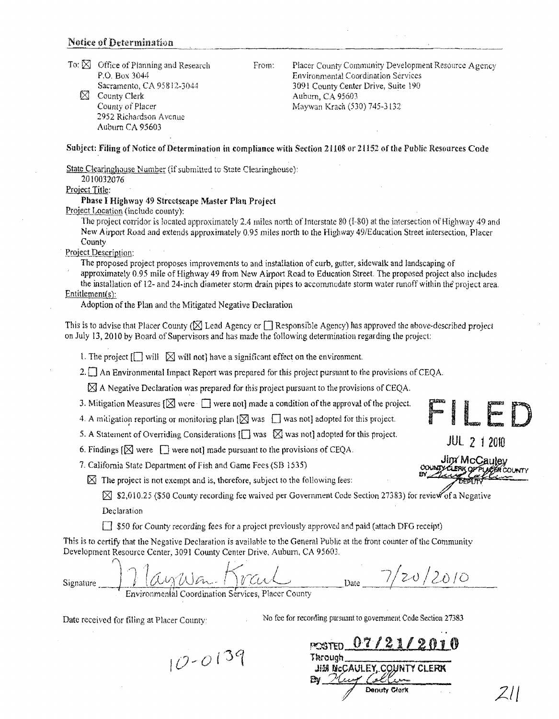| To: $\boxtimes$ Office of Planning and Research |
|-------------------------------------------------|
| P.O. Box $3044$                                 |
| Sacramento, CA 95812-3044                       |
|                                                 |

 $\boxtimes$  County Clerk County of Placer 2952 Richardson A venue Auburn CA 95603

From: Placer County Community Development Resource Agency Environmental Coordination Services 309l County Center Drive, Suite 190 Auburn, CA 95603 Maywan Krach (530) 745-3132

Subject: Filing of Notice of Determination in compliance with Section 21108 or 21152 of the Public Resources Code

State Clearinghouse Number (if submitted to State Clearinghouse):

2010032076

Project Title:

### Phase I Highway 49 Streetscape Master Plan Project

Project Location (include county):

The project corridor is located approximately 2.4 miles north of Interstate 80 (I-80) at the intersection of Highway 49 and New Airport Road and extends approximately 0.95 miles north to the Highway 49!Education Street intersection, Placer County

Project Description:

The proposed project proposes improvements to and installation of curb, gutter, sidewalk and landscaping of

approximately 0.95 mile of Highway 49 from New Airport Road to Education Street. The proposed project also includes the installation of 12- and 24-inch diameter storm drain pipes to accommodate storm water runoff within the project area. Entitlement(s):

Adoption of the Plan and the Mitigated Negative Declaration

This is to advise that Placer County ( $\boxtimes$  Lead Agency or  $\Box$  Responsible Agency) has approved the above-described project on July 13, 2010 by Board of Supervisors and has made the following determination regarding the project:

1. The project  $\Box$  will  $\boxtimes$  will not] have a significant effect on the environment.

2. An Environmental Impact Report was prepared for this project pursuant to the provisions of CEQA.

 $[8]$  A Negative Declaration was prepared for this project pursuant to the provisions of CEQA.

3. Mitigation Measures  $\left[\boxtimes$  were  $\Box$  were not] made a condition of the approval of the project. FILED  $\Box$ 

5. A Statement of Overriding Considerations  $[\Box]$  was  $[\Box]$  was not] adopted for this project.

6. Findings  $[\boxtimes]$  were  $[\Box]$  were not) made pursuant to the provisions of CEQA.

7. California State Department of Fish and Game Fees (SB 1535) JUN MCCauley

 $[8]$  The project is not exempt and is, therefore, subject to the following fees:

 $10 - 0139$ 

 $\boxtimes$  \$2,010.25 (\$50 County recording fee waived per Government Code Section 27383) for review of a Negative Declaration

 $\Box$  \$50 for County recording fees for a project previously approved and paid (attach DFG receipt)

This is to certify that the Negative Declaration is available to the General Public at the front counter of the Community

Development Resource Center, 3091 County Center Drive, Auburn, CA 95603.<br>Signature and a computation of the contract of the contract of the contract of the contract of the contract of  $20/20/0$ Environmenlal Coordination Services, Placer County

Date received for filing at Placer County: No fee for recording pursuant to government Code Section 27383

POSTED **Through** JFM NCCAULEY, COUNTY CLERK  $\mathcal{Z}$ 

JUl 2 1 <sup>2010</sup>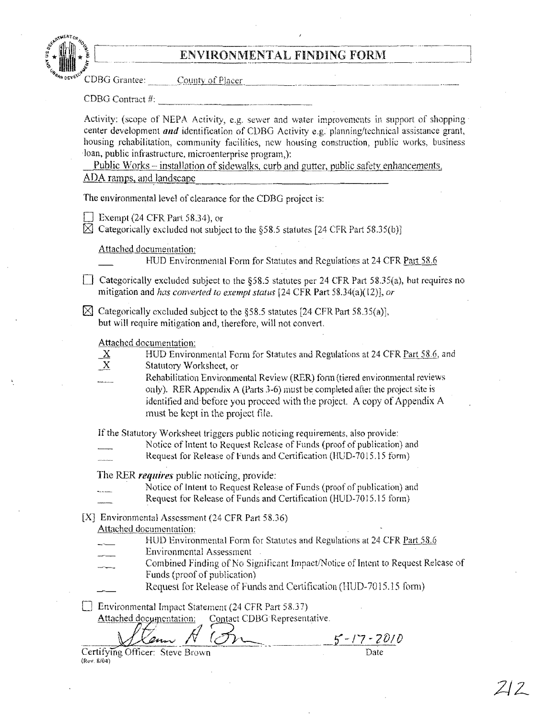| ENVIRONMENTAL FINDING FORM                                                                                                                                                                                                                                                                                                                                                                                                                                                         |
|------------------------------------------------------------------------------------------------------------------------------------------------------------------------------------------------------------------------------------------------------------------------------------------------------------------------------------------------------------------------------------------------------------------------------------------------------------------------------------|
| CDBG Grantee: County of Placer                                                                                                                                                                                                                                                                                                                                                                                                                                                     |
| CDBG Contract #:                                                                                                                                                                                                                                                                                                                                                                                                                                                                   |
| Activity: (scope of NEPA Activity, e.g. sewer and water improvements in support of shopping<br>center development and identification of CDBG Activity e.g. planning/technical assistance grant,<br>housing rehabilitation, community facilities, new housing construction, public works, business<br>loan, public infrastructure, microenterprise program,):<br>Public Works - installation of sidewalks, curb and gutter, public safety enhancements,<br>ADA ramps, and landscape |
| The environmental level of clearance for the CDBG project is:                                                                                                                                                                                                                                                                                                                                                                                                                      |
| Exempt (24 CFR Part 58.34), or<br>$\boxtimes$ Categorically excluded not subject to the §58.5 statutes [24 CFR Part 58.35(b)]                                                                                                                                                                                                                                                                                                                                                      |
| Attached documentation:<br>HUD Environmental Form for Statutes and Regulations at 24 CFR Part 58.6                                                                                                                                                                                                                                                                                                                                                                                 |
| Categorically excluded subject to the §58.5 statutes per 24 CFR Part 58.35(a), but requires no<br>mitigation and has converted to exempt status [24 CFR Part 58.34(a)(12)], or                                                                                                                                                                                                                                                                                                     |
| $\boxtimes$ Categorically excluded subject to the §58.5 statutes [24 CFR Part 58.35(a)],<br>but will require mitigation and, therefore, will not convert.                                                                                                                                                                                                                                                                                                                          |
| Attached documentation:<br>HUD Environmental Form for Statutes and Regulations at 24 CFR Part 58.6, and<br>$\overline{\mathbf{X}}$<br>$\overline{X}$<br>Statutory Worksheet, or<br>Rehabilitation Environmental Review (RER) form (tiered environmental reviews<br>only). RER Appendix A (Parts 3-6) must be completed after the project site is<br>identified and before you proceed with the project. A copy of Appendix A<br>must be kept in the project file.                  |
| If the Statutory Worksheet triggers public noticing requirements, also provide:<br>Notice of Intent to Request Release of Funds (proof of publication) and<br>Request for Release of Funds and Certification (HUD-7015.15 form)                                                                                                                                                                                                                                                    |
| The RER <i>requires</i> public noticing, provide:<br>Notice of Intent to Request Release of Funds (proof of publication) and<br>Request for Release of Funds and Certification (HUD-7015.15 form)                                                                                                                                                                                                                                                                                  |
| [X] Environmental Assessment (24 CFR Part 58.36)<br>Attached documentation:<br>HUD Environmental Form for Statutes and Regulations at 24 CFR Part 58.6<br><b>Environmental Assessment</b><br>Combined Finding of No Significant Impact/Notice of Intent to Request Release of<br>Funds (proof of publication)<br>Request for Release of Funds and Certification (HUD-7015.15 form)                                                                                                 |
| Environmental Impact Statement (24 CFR Part 58.37)<br>Attached documentation: Contact CDBG Representative.                                                                                                                                                                                                                                                                                                                                                                         |
| $-5 - 17 - 2010$<br>Date<br>Certifying Officer: Steve Brown                                                                                                                                                                                                                                                                                                                                                                                                                        |

 $\frac{1}{\sqrt{2}}$ 

 $\ddot{\phantom{1}}$ 

 $\frac{1}{2}$ 

 $\frac{1}{2}$ 

 $212$ 

 $\sim$  4  $^{\circ}$